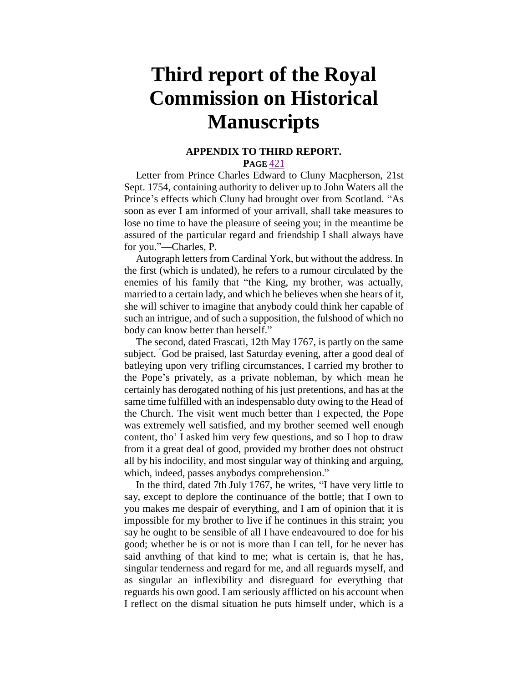## **Third report of the Royal Commission on Historical Manuscripts**

## **APPENDIX TO THIRD REPORT.**

**PAGE** [421](http://books.google.com/books?id=3_sUAAAAQAAJ&dq=Report%20Royal%20Commission%20on%20Historical%20Manuscripts&pg=PA421#v=onepage&q&f=false)

Letter from Prince Charles Edward to Cluny Macpherson, 21st Sept. 1754, containing authority to deliver up to John Waters all the Prince's effects which Cluny had brought over from Scotland. "As soon as ever I am informed of your arrivall, shall take measures to lose no time to have the pleasure of seeing you; in the meantime be assured of the particular regard and friendship I shall always have for you."—Charles, P.

Autograph letters from Cardinal York, but without the address. In the first (which is undated), he refers to a rumour circulated by the enemies of his family that "the King, my brother, was actually, married to a certain lady, and which he believes when she hears of it, she will schiver to imagine that anybody could think her capable of such an intrigue, and of such a supposition, the fulshood of which no body can know better than herself."

The second, dated Frascati, 12th May 1767, is partly on the same subject. "God be praised, last Saturday evening, after a good deal of batleying upon very trifling circumstances, I carried my brother to the Pope's privately, as a private nobleman, by which mean he certainly has derogated nothing of his just pretentions, and has at the same time fulfilled with an indespensablo duty owing to the Head of the Church. The visit went much better than I expected, the Pope was extremely well satisfied, and my brother seemed well enough content, tho' I asked him very few questions, and so I hop to draw from it a great deal of good, provided my brother does not obstruct all by his indocility, and most singular way of thinking and arguing, which, indeed, passes anybodys comprehension."

In the third, dated 7th July 1767, he writes, "I have very little to say, except to deplore the continuance of the bottle; that I own to you makes me despair of everything, and I am of opinion that it is impossible for my brother to live if he continues in this strain; you say he ought to be sensible of all I have endeavoured to doe for his good; whether he is or not is more than I can tell, for he never has said anvthing of that kind to me; what is certain is, that he has, singular tenderness and regard for me, and all reguards myself, and as singular an inflexibility and disreguard for everything that reguards his own good. I am seriously afflicted on his account when I reflect on the dismal situation he puts himself under, which is a